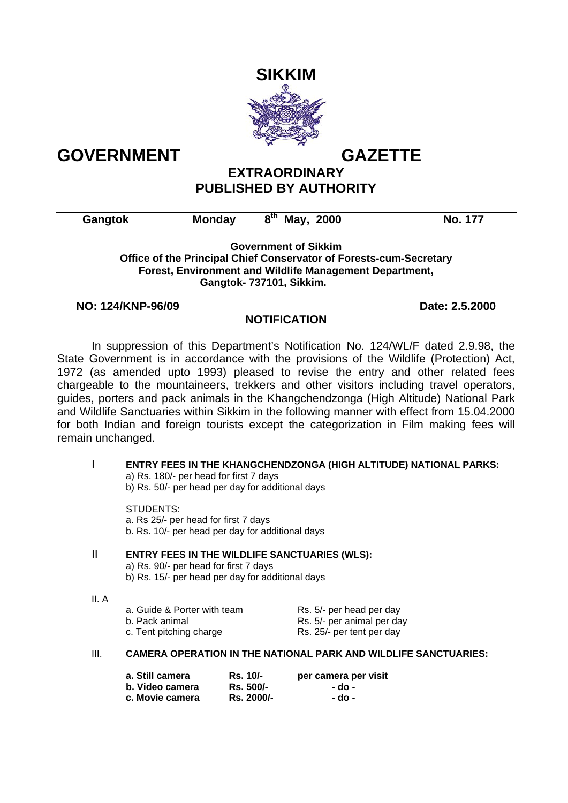



# **EXTRAORDINARY PUBLISHED BY AUTHORITY**

| Gangtok | м<br>ndav | . .<br>2000<br>ow.<br>Mav | Nι |
|---------|-----------|---------------------------|----|
|---------|-----------|---------------------------|----|

### **Government of Sikkim Office of the Principal Chief Conservator of Forests-cum-Secretary Forest, Environment and Wildlife Management Department, Gangtok- 737101, Sikkim.**

## **NO: 124/KNP-96/09 Date: 2.5.2000**

# **NOTIFICATION**

In suppression of this Department's Notification No. 124/WL/F dated 2.9.98, the State Government is in accordance with the provisions of the Wildlife (Protection) Act, 1972 (as amended upto 1993) pleased to revise the entry and other related fees chargeable to the mountaineers, trekkers and other visitors including travel operators, guides, porters and pack animals in the Khangchendzonga (High Altitude) National Park and Wildlife Sanctuaries within Sikkim in the following manner with effect from 15.04.2000 for both Indian and foreign tourists except the categorization in Film making fees will remain unchanged.

# I **ENTRY FEES IN THE KHANGCHENDZONGA (HIGH ALTITUDE) NATIONAL PARKS:** a) Rs. 180/- per head for first 7 days b) Rs. 50/- per head per day for additional days STUDENTS:

 a. Rs 25/- per head for first 7 days b. Rs. 10/- per head per day for additional days

## II **ENTRY FEES IN THE WILDLIFE SANCTUARIES (WLS):**

a) Rs. 90/- per head for first 7 days

- b) Rs. 15/- per head per day for additional days
- II. A

| a. Guide & Porter with team | Rs. 5/- per head per day   |
|-----------------------------|----------------------------|
| b. Pack animal              | Rs. 5/- per animal per day |
| c. Tent pitching charge     | Rs. 25/- per tent per day  |

## III. **CAMERA OPERATION IN THE NATIONAL PARK AND WILDLIFE SANCTUARIES:**

| a. Still camera | Rs. 10/-   | per camera per visit |
|-----------------|------------|----------------------|
| b. Video camera | Rs. 500/-  | - do -               |
| c. Movie camera | Rs. 2000/- | - do -               |